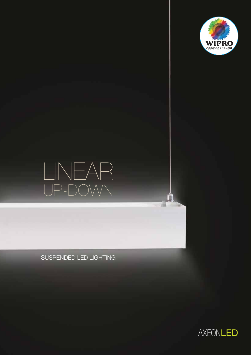

# UP-DOWN LINEAR

SUSPENDED LED LIGHTING



в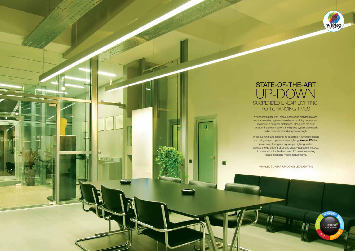

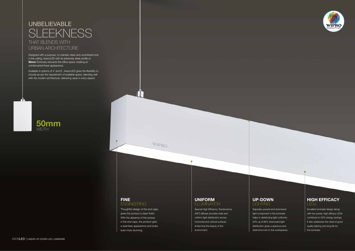



Separate upward and downward light component in the luminaire helps in distributing light uniformly. 33% up & 66% downward light distribution gives a spacious and distinctive look to the workspaces.

#### **UNIFORM ILLUMINATION**

## **UP-DOWN** LIGHTING

Special High Efficiency Translucence (HET) diffuser provides wide and uniform light distribution across horizontal and vertical surfaces enhancing the beauty of the environment.

Thoughtful design of the end caps, gives the product a clean finish. With the absence of the screws in the end caps, the product gets a seamless appearance and looks even more stunning.

M

### **FINE** ENGINEERING

Excellent luminaire design along with low power, high efficacy LEDs contribute to 50% energy savings. It also addresses the need of good quality lighting and long life for the luminaire.

#### **HIGH EFFICACY** LEDs

# SLEEKNESS UNBELIEVABLE THAT BLENDS WITH URBAN ARCHITECTURE

Designed with a purpose, to maintain clean and uncluttered look in the ceiling, AxeonLED with its extremely sleek profile of **50mm** thickness reinvents the office space creating an uninterrupted linear appearance.

Available in options of 4' and 8', AxeonLED gives the flexibility to choose as per the requirement of available space, blending well with the modern architecture, delivering value in every aspect.



**WIPRO**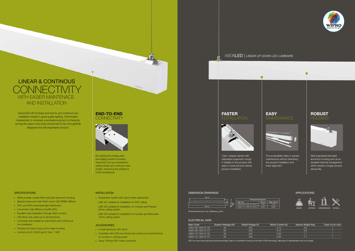#### ELECTRICAL DATA

- White powder coated finish extruded aluminium housing
- Special translucent satin finish colour LED PMMA diffuser
- 33% up & 66% downward light distribution
- Low power, high efficacy long life LEDs
- Excellent heat dissipation through direct contact
- LED driver duly wired up to terminal block
- Luminaries are suitable for stand alone and continuous row installation
- Provision for loop in loop out for ease of wiring
- Conforms to IS 10322 part 5/ Sec 1 1987

LED is an ever improving and evolving technology. Wipro is committed to bring you the best in LED technology. Data given is representative and can change.







Mains Current (A) Approx Weight (Kg) Case Lot (in nos.)

- Suspension system with quick onsite adjustment:
- LMX 341 suitable for installation on RCC ceiling
- LMX 342 suitable for installation on modular grid Prelude 24mm ceiling system
- LMX 343 suitable for installation on modular grid Silhouette 15mm ceiling system

#### **ACCESSORIES**

#### **END-TO-END CONNECTIVITY**

**Juveno** 

 $\bullet$ 



- In-built electronic LED driver
- Complete with LEDs and drivers pre-wired up to terminal block to connect in coming power
- 3way 10Amps GFP mains connector

## AXEONLED | LINEAR UP-DOWN LED LUMINAIRE

 $\bullet$ 

Well engineered extruded aluminium housing acts as an excellent thermal management which results in longer product service life.

#### $-1120$ Dim A | Mtg. dim B



 $\bullet$ 



The accessibility helps in quicker maintenance without disturbing the product installation and linear alignment.

# **FASTER**



| Main Code           | System Wattage (W) | Rated Voltage (V) | Mains Current (A) | Approx Weight (Kg) | Case Lot |
|---------------------|--------------------|-------------------|-------------------|--------------------|----------|
| IM34-361-XXX-57-XX  | 29                 | 240               | 0.13              | 3.6                |          |
| IM34-361-XXX-57-CT  | 29                 | 240               | 0.13              | 3.6                |          |
| IM34-721-XXX-57-XX  | 58                 | 240               | 0 26              |                    |          |
| I M34-721-XXX-57-CT | 58                 | 240               | 0.26              |                    |          |







'Claw' shaped clamps with adjustable suspension brings in stability to the product with ease in horizontal and vertical product installation.

#### **DIMENSION DRAWINGS CONSUMINGS** APPLICATIONS







All dimensions are in mm. Tolerance  $\pm 2$ mm

AxeonLED with its linear and end-to-end continous row installation results in good quality lighting. It illuminates impressively to compose a workspace giving it a character, turning the space more lively and proves to be a thoughtfully designed and well engineered product.

#### **SPECIFICATIONS**

By inserting the bridge plate and adding another luminaire, AxeonLED can be connected to achieve linear and continous rows of light, enhancing the ambience of the workspaces.

#### INSTALLATION